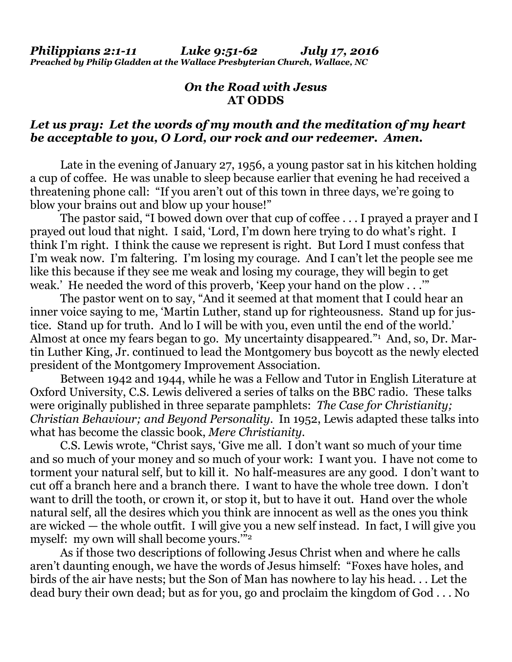# *On the Road with Jesus*  **AT ODDS**

## *Let us pray: Let the words of my mouth and the meditation of my heart be acceptable to you, O Lord, our rock and our redeemer. Amen.*

Late in the evening of January 27, 1956, a young pastor sat in his kitchen holding a cup of coffee. He was unable to sleep because earlier that evening he had received a threatening phone call: "If you aren't out of this town in three days, we're going to blow your brains out and blow up your house!"

 The pastor said, "I bowed down over that cup of coffee . . . I prayed a prayer and I prayed out loud that night. I said, 'Lord, I'm down here trying to do what's right. I think I'm right. I think the cause we represent is right. But Lord I must confess that I'm weak now. I'm faltering. I'm losing my courage. And I can't let the people see me like this because if they see me weak and losing my courage, they will begin to get weak.' He needed the word of this proverb, 'Keep your hand on the plow . . .'"

 The pastor went on to say, "And it seemed at that moment that I could hear an inner voice saying to me, 'Martin Luther, stand up for righteousness. Stand up for justice. Stand up for truth. And lo I will be with you, even until the end of the world.' Almost at once my fears began to go. My uncertainty disappeared."<sup>1</sup> And, so, Dr. Martin Luther King, Jr. continued to lead the Montgomery bus boycott as the newly elected president of the Montgomery Improvement Association.

 Between 1942 and 1944, while he was a Fellow and Tutor in English Literature at Oxford University, C.S. Lewis delivered a series of talks on the BBC radio. These talks were originally published in three separate pamphlets: *The Case for Christianity; Christian Behaviour; and Beyond Personality*. In 1952, Lewis adapted these talks into what has become the classic book, *Mere Christianity*.

 C.S. Lewis wrote, "Christ says, 'Give me all. I don't want so much of your time and so much of your money and so much of your work: I want you. I have not come to torment your natural self, but to kill it. No half-measures are any good. I don't want to cut off a branch here and a branch there. I want to have the whole tree down. I don't want to drill the tooth, or crown it, or stop it, but to have it out. Hand over the whole natural self, all the desires which you think are innocent as well as the ones you think are wicked — the whole outfit. I will give you a new self instead. In fact, I will give you myself: my own will shall become yours.'"2

 As if those two descriptions of following Jesus Christ when and where he calls aren't daunting enough, we have the words of Jesus himself: "Foxes have holes, and birds of the air have nests; but the Son of Man has nowhere to lay his head. . . Let the dead bury their own dead; but as for you, go and proclaim the kingdom of God . . . No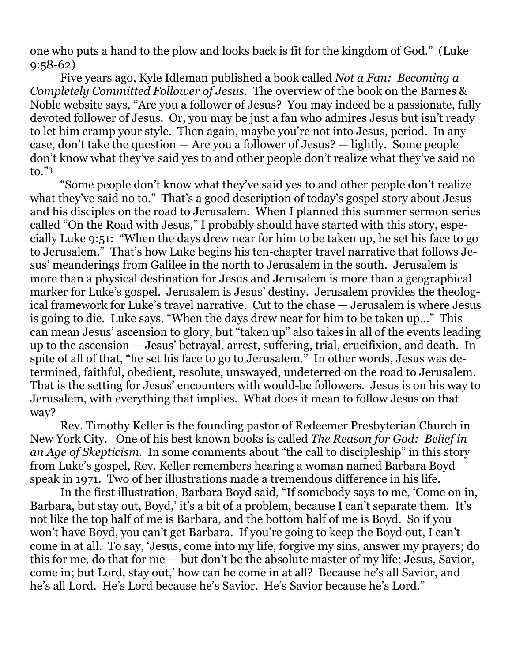one who puts a hand to the plow and looks back is fit for the kingdom of God." (Luke 9:58-62)

 Five years ago, Kyle Idleman published a book called *Not a Fan: Becoming a Completely Committed Follower of Jesus*. The overview of the book on the Barnes & Noble website says, "Are you a follower of Jesus? You may indeed be a passionate, fully devoted follower of Jesus. Or, you may be just a fan who admires Jesus but isn't ready to let him cramp your style. Then again, maybe you're not into Jesus, period. In any case, don't take the question — Are you a follower of Jesus? — lightly. Some people don't know what they've said yes to and other people don't realize what they've said no to."3

 "Some people don't know what they've said yes to and other people don't realize what they've said no to." That's a good description of today's gospel story about Jesus and his disciples on the road to Jerusalem. When I planned this summer sermon series called "On the Road with Jesus," I probably should have started with this story, especially Luke 9:51: "When the days drew near for him to be taken up, he set his face to go to Jerusalem." That's how Luke begins his ten-chapter travel narrative that follows Jesus' meanderings from Galilee in the north to Jerusalem in the south. Jerusalem is more than a physical destination for Jesus and Jerusalem is more than a geographical marker for Luke's gospel. Jerusalem is Jesus' destiny. Jerusalem provides the theological framework for Luke's travel narrative. Cut to the chase — Jerusalem is where Jesus is going to die. Luke says, "When the days drew near for him to be taken up…" This can mean Jesus' ascension to glory, but "taken up" also takes in all of the events leading up to the ascension — Jesus' betrayal, arrest, suffering, trial, crucifixion, and death. In spite of all of that, "he set his face to go to Jerusalem." In other words, Jesus was determined, faithful, obedient, resolute, unswayed, undeterred on the road to Jerusalem. That is the setting for Jesus' encounters with would-be followers. Jesus is on his way to Jerusalem, with everything that implies. What does it mean to follow Jesus on that way?

 Rev. Timothy Keller is the founding pastor of Redeemer Presbyterian Church in New York City. One of his best known books is called *The Reason for God: Belief in an Age of Skepticism*. In some comments about "the call to discipleship" in this story from Luke's gospel, Rev. Keller remembers hearing a woman named Barbara Boyd speak in 1971. Two of her illustrations made a tremendous difference in his life.

 In the first illustration, Barbara Boyd said, "If somebody says to me, 'Come on in, Barbara, but stay out, Boyd,' it's a bit of a problem, because I can't separate them. It's not like the top half of me is Barbara, and the bottom half of me is Boyd. So if you won't have Boyd, you can't get Barbara. If you're going to keep the Boyd out, I can't come in at all. To say, 'Jesus, come into my life, forgive my sins, answer my prayers; do this for me, do that for me — but don't be the absolute master of my life; Jesus, Savior, come in; but Lord, stay out,' how can he come in at all? Because he's all Savior, and he's all Lord. He's Lord because he's Savior. He's Savior because he's Lord."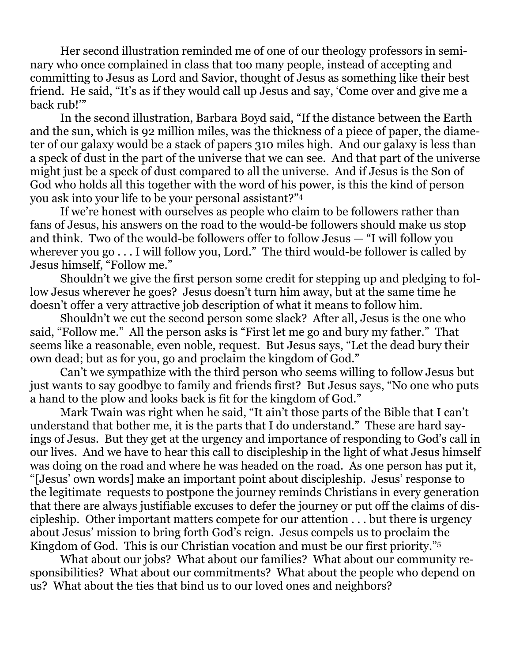Her second illustration reminded me of one of our theology professors in seminary who once complained in class that too many people, instead of accepting and committing to Jesus as Lord and Savior, thought of Jesus as something like their best friend. He said, "It's as if they would call up Jesus and say, 'Come over and give me a back rub!'"

 In the second illustration, Barbara Boyd said, "If the distance between the Earth and the sun, which is 92 million miles, was the thickness of a piece of paper, the diameter of our galaxy would be a stack of papers 310 miles high. And our galaxy is less than a speck of dust in the part of the universe that we can see. And that part of the universe might just be a speck of dust compared to all the universe. And if Jesus is the Son of God who holds all this together with the word of his power, is this the kind of person you ask into your life to be your personal assistant?"4

 If we're honest with ourselves as people who claim to be followers rather than fans of Jesus, his answers on the road to the would-be followers should make us stop and think. Two of the would-be followers offer to follow Jesus — "I will follow you wherever you go . . . I will follow you, Lord." The third would-be follower is called by Jesus himself, "Follow me."

 Shouldn't we give the first person some credit for stepping up and pledging to follow Jesus wherever he goes? Jesus doesn't turn him away, but at the same time he doesn't offer a very attractive job description of what it means to follow him.

 Shouldn't we cut the second person some slack? After all, Jesus is the one who said, "Follow me." All the person asks is "First let me go and bury my father." That seems like a reasonable, even noble, request. But Jesus says, "Let the dead bury their own dead; but as for you, go and proclaim the kingdom of God."

 Can't we sympathize with the third person who seems willing to follow Jesus but just wants to say goodbye to family and friends first? But Jesus says, "No one who puts a hand to the plow and looks back is fit for the kingdom of God."

 Mark Twain was right when he said, "It ain't those parts of the Bible that I can't understand that bother me, it is the parts that I do understand." These are hard sayings of Jesus. But they get at the urgency and importance of responding to God's call in our lives. And we have to hear this call to discipleship in the light of what Jesus himself was doing on the road and where he was headed on the road. As one person has put it, "[Jesus' own words] make an important point about discipleship. Jesus' response to the legitimate requests to postpone the journey reminds Christians in every generation that there are always justifiable excuses to defer the journey or put off the claims of discipleship. Other important matters compete for our attention . . . but there is urgency about Jesus' mission to bring forth God's reign. Jesus compels us to proclaim the Kingdom of God. This is our Christian vocation and must be our first priority."5

 What about our jobs? What about our families? What about our community responsibilities? What about our commitments? What about the people who depend on us? What about the ties that bind us to our loved ones and neighbors?